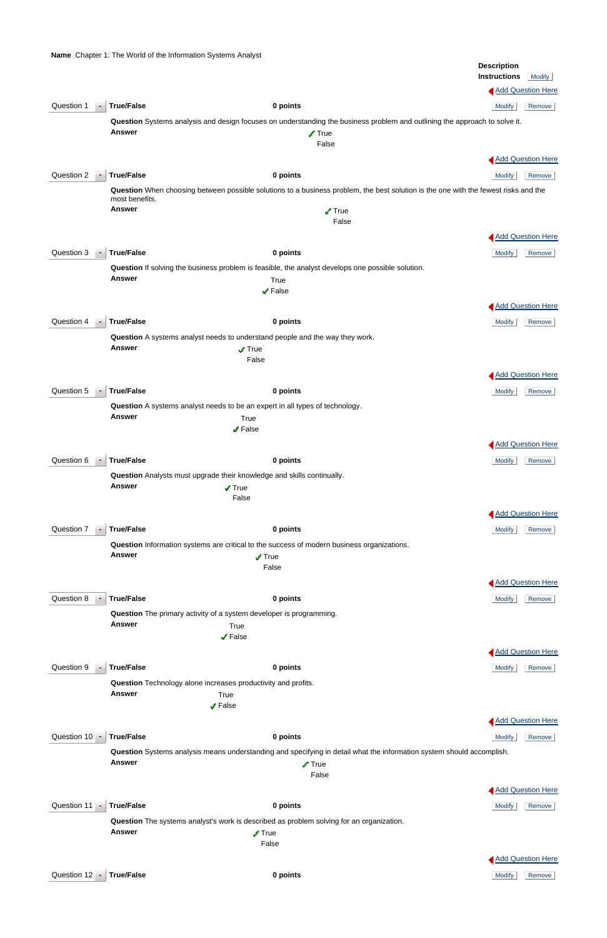**Name** Chapter 1: The World of the Information Systems Analyst

|            |               |                                                                                                                  |                                                                                                                            | <b>Description</b>                                                                                                                  |
|------------|---------------|------------------------------------------------------------------------------------------------------------------|----------------------------------------------------------------------------------------------------------------------------|-------------------------------------------------------------------------------------------------------------------------------------|
|            |               |                                                                                                                  |                                                                                                                            | <b>Instructions</b><br>Modify                                                                                                       |
|            |               |                                                                                                                  |                                                                                                                            | <b>Add Question Here</b>                                                                                                            |
| Question 1 | ×             | <b>True/False</b>                                                                                                | 0 points                                                                                                                   | <b>Modify</b><br>Remove                                                                                                             |
|            |               |                                                                                                                  | Question Systems analysis and design focuses on understanding the business problem and outlining the approach to solve it. |                                                                                                                                     |
|            |               | <b>Answer</b>                                                                                                    | $\sqrt{ }$ True                                                                                                            |                                                                                                                                     |
|            |               |                                                                                                                  | False                                                                                                                      |                                                                                                                                     |
|            |               |                                                                                                                  |                                                                                                                            | Add Question Here                                                                                                                   |
| Question 2 |               | <b>True/False</b>                                                                                                | 0 points                                                                                                                   | Remove<br><b>Modify</b>                                                                                                             |
|            |               | most benefits.                                                                                                   |                                                                                                                            | Question When choosing between possible solutions to a business problem, the best solution is the one with the fewest risks and the |
|            |               | <b>Answer</b>                                                                                                    | $\sqrt{ }$ True                                                                                                            |                                                                                                                                     |
|            |               |                                                                                                                  | False                                                                                                                      |                                                                                                                                     |
|            |               |                                                                                                                  |                                                                                                                            | Add Question Here                                                                                                                   |
| Question 3 | $\bullet$     | <b>True/False</b>                                                                                                | 0 points                                                                                                                   | <b>Modify</b><br>Remove                                                                                                             |
|            |               |                                                                                                                  | Question If solving the business problem is feasible, the analyst develops one possible solution.                          |                                                                                                                                     |
|            |               | <b>Answer</b>                                                                                                    | True                                                                                                                       |                                                                                                                                     |
|            |               |                                                                                                                  | $\sqrt{ }$ False                                                                                                           |                                                                                                                                     |
|            |               |                                                                                                                  |                                                                                                                            | Add Question Here                                                                                                                   |
| Question 4 |               | <b>True/False</b>                                                                                                | 0 points                                                                                                                   | <b>Modify</b><br>Remove                                                                                                             |
|            |               | Question A systems analyst needs to understand people and the way they work.<br><b>Answer</b><br>$\sqrt{ }$ True |                                                                                                                            |                                                                                                                                     |
|            |               |                                                                                                                  |                                                                                                                            |                                                                                                                                     |
|            |               |                                                                                                                  | False                                                                                                                      |                                                                                                                                     |
|            |               |                                                                                                                  |                                                                                                                            | <b>Add Question Here</b>                                                                                                            |
| Question 5 |               | <b>True/False</b>                                                                                                | 0 points                                                                                                                   | <b>Modify</b><br>Remove                                                                                                             |
|            |               | Question A systems analyst needs to be an expert in all types of technology.                                     |                                                                                                                            |                                                                                                                                     |
|            |               | <b>Answer</b>                                                                                                    | True<br>✔ False                                                                                                            |                                                                                                                                     |
|            |               |                                                                                                                  |                                                                                                                            |                                                                                                                                     |
|            |               |                                                                                                                  |                                                                                                                            | <b>Add Question Here</b>                                                                                                            |
| Question 6 |               | <b>True/False</b>                                                                                                | 0 points                                                                                                                   | <b>Modify</b><br>Remove                                                                                                             |
|            |               | Question Analysts must upgrade their knowledge and skills continually.<br><b>Answer</b>                          |                                                                                                                            |                                                                                                                                     |
|            |               | $\sqrt{ }$ True<br>False                                                                                         |                                                                                                                            |                                                                                                                                     |
|            |               |                                                                                                                  |                                                                                                                            | <b>Add Question Here</b>                                                                                                            |
|            |               |                                                                                                                  |                                                                                                                            |                                                                                                                                     |
| Question 7 |               | <b>True/False</b>                                                                                                | 0 points                                                                                                                   | <b>Modify</b><br>Remove                                                                                                             |
|            |               | <b>Answer</b>                                                                                                    | Question Information systems are critical to the success of modern business organizations.<br>$\sqrt{ }$ True              |                                                                                                                                     |
|            |               |                                                                                                                  | False                                                                                                                      |                                                                                                                                     |
|            |               |                                                                                                                  |                                                                                                                            | <b>Add Question Here</b>                                                                                                            |
| Question 8 | $\,$          | <b>True/False</b>                                                                                                | 0 points                                                                                                                   | <b>Modify</b><br>Remove                                                                                                             |
|            |               | Question The primary activity of a system developer is programming.                                              |                                                                                                                            |                                                                                                                                     |
|            |               | <b>Answer</b><br>True                                                                                            |                                                                                                                            |                                                                                                                                     |
|            |               | $\sqrt{ }$ False                                                                                                 |                                                                                                                            |                                                                                                                                     |
|            |               |                                                                                                                  |                                                                                                                            | <b>Add Question Here</b>                                                                                                            |
| Question 9 | $\sim$ $\sim$ | <b>True/False</b>                                                                                                | 0 points                                                                                                                   | Modify<br>Remove                                                                                                                    |

**Question** Technology alone increases productivity and profits.

|                     | <b>Answer</b>     | True                                                                                     |                                                                                                                       |
|---------------------|-------------------|------------------------------------------------------------------------------------------|-----------------------------------------------------------------------------------------------------------------------|
|                     |                   | $\sqrt{}$ False                                                                          |                                                                                                                       |
|                     |                   |                                                                                          | <b>Add Question Here</b>                                                                                              |
| Question $10 -$     | <b>True/False</b> | 0 points                                                                                 | <b>Modify</b><br>Remove                                                                                               |
|                     |                   |                                                                                          | Question Systems analysis means understanding and specifying in detail what the information system should accomplish. |
|                     | <b>Answer</b>     | $\sqrt{ }$ True                                                                          |                                                                                                                       |
|                     |                   | False                                                                                    |                                                                                                                       |
|                     |                   |                                                                                          | <b>Add Question Here</b>                                                                                              |
| Question 11 $\cdot$ | <b>True/False</b> | 0 points                                                                                 | <b>Modify</b><br>Remove                                                                                               |
|                     |                   | Question The systems analyst's work is described as problem solving for an organization. |                                                                                                                       |
|                     | <b>Answer</b>     | $\sqrt{T}$ True                                                                          |                                                                                                                       |
|                     |                   | False                                                                                    |                                                                                                                       |
|                     |                   |                                                                                          | <b>Add Question Here</b>                                                                                              |
| Question $12 -$     | <b>True/False</b> | 0 points                                                                                 | <b>Modify</b><br>Remove                                                                                               |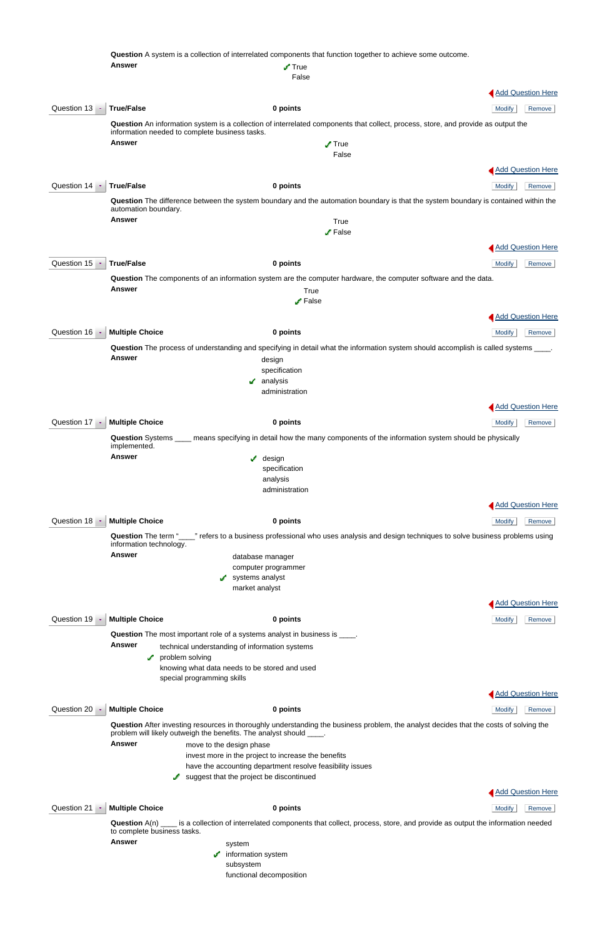|                       |                                                | Question A system is a collection of interrelated components that function together to achieve some outcome.                                |                          |
|-----------------------|------------------------------------------------|---------------------------------------------------------------------------------------------------------------------------------------------|--------------------------|
|                       | <b>Answer</b>                                  | $\sqrt{ }$ True<br>False                                                                                                                    |                          |
|                       |                                                |                                                                                                                                             | <b>Add Question Here</b> |
| Question 13 ·         | <b>True/False</b>                              | 0 points                                                                                                                                    | <b>Modify</b><br>Remove  |
|                       | information needed to complete business tasks. | Question An information system is a collection of interrelated components that collect, process, store, and provide as output the           |                          |
|                       | <b>Answer</b>                                  | $\sqrt{ }$ True                                                                                                                             |                          |
|                       |                                                | False                                                                                                                                       |                          |
|                       |                                                |                                                                                                                                             | <b>Add Question Here</b> |
| Question 14 ·         | <b>True/False</b>                              | 0 points                                                                                                                                    | <b>Modify</b><br>Remove  |
|                       | automation boundary.                           | Question The difference between the system boundary and the automation boundary is that the system boundary is contained within the         |                          |
|                       | <b>Answer</b>                                  | True<br>$\blacktriangleright$ False                                                                                                         |                          |
|                       |                                                |                                                                                                                                             | <b>Add Question Here</b> |
|                       |                                                |                                                                                                                                             |                          |
| Question 15<br>in the | <b>True/False</b>                              | 0 points                                                                                                                                    | Remove<br><b>Modify</b>  |
|                       | <b>Answer</b>                                  | Question The components of an information system are the computer hardware, the computer software and the data.<br>True                     |                          |
|                       |                                                | $\blacktriangleright$ False                                                                                                                 |                          |
|                       |                                                |                                                                                                                                             | <b>Add Question Here</b> |
| Question 16           | <b>Multiple Choice</b>                         | 0 points                                                                                                                                    | Modify<br>Remove         |
|                       |                                                | Question The process of understanding and specifying in detail what the information system should accomplish is called systems ____.        |                          |
|                       | <b>Answer</b>                                  | design                                                                                                                                      |                          |
|                       |                                                | specification<br>analysis                                                                                                                   |                          |
|                       |                                                | administration                                                                                                                              |                          |
|                       |                                                |                                                                                                                                             | <b>Add Question Here</b> |
| Question 17           | <b>Multiple Choice</b>                         | 0 points                                                                                                                                    | Modify<br>Remove         |
|                       | implemented.                                   | Question Systems ____ means specifying in detail how the many components of the information system should be physically                     |                          |
|                       | <b>Answer</b>                                  | $\sqrt{\phantom{a}}$ design                                                                                                                 |                          |
|                       |                                                | specification<br>analysis                                                                                                                   |                          |
|                       |                                                | administration                                                                                                                              |                          |
|                       |                                                |                                                                                                                                             | <b>Add Question Here</b> |
| Question 18           | <b>Multiple Choice</b>                         | 0 points                                                                                                                                    | Remove<br>Modify         |
|                       | information technology.                        | Question The term " <sub>1</sub> refers to a business professional who uses analysis and design techniques to solve business problems using |                          |
|                       | <b>Answer</b>                                  | database manager                                                                                                                            |                          |
|                       |                                                | computer programmer<br>systems analyst                                                                                                      |                          |
|                       |                                                | market analyst                                                                                                                              |                          |
|                       |                                                |                                                                                                                                             | <b>Add Question Here</b> |
| Question 19 $\cdot$   | <b>Multiple Choice</b>                         | 0 points                                                                                                                                    | <b>Modify</b><br>Remove  |
|                       |                                                | <b>Question</b> The most important role of a systems analyst in business is ____.                                                           |                          |
|                       | <b>Answer</b>                                  | technical understanding of information systems                                                                                              |                          |
|                       | problem solving<br>s.                          | knowing what data needs to be stored and used                                                                                               |                          |
|                       | special programming skills                     |                                                                                                                                             |                          |

**Question** After investing resources in thoroughly understanding the business problem, the analyst decides that the costs of solving the problem will likely outweigh the benefits. The analyst should \_



# **Question 20 Multiple Choice 12 <b>C 0 points 0 points 12 C Multiple Choice 12 Modify** Remove

**Answer** move to the design phase

invest more in the project to increase the benefits

have the accounting department resolve feasibility issues

suggest that the project be discontinued

**Question 21 Multiple Choice 0 points 0 points 0 points 1 Modify** Remove

Add Question Here

**Question** A(n) \_\_\_\_ is a collection of interrelated components that collect, process, store, and provide as output the information needed to complete business tasks.

Answer system

 $\sqrt{\phantom{a}}$  information system

subsystem

functional decomposition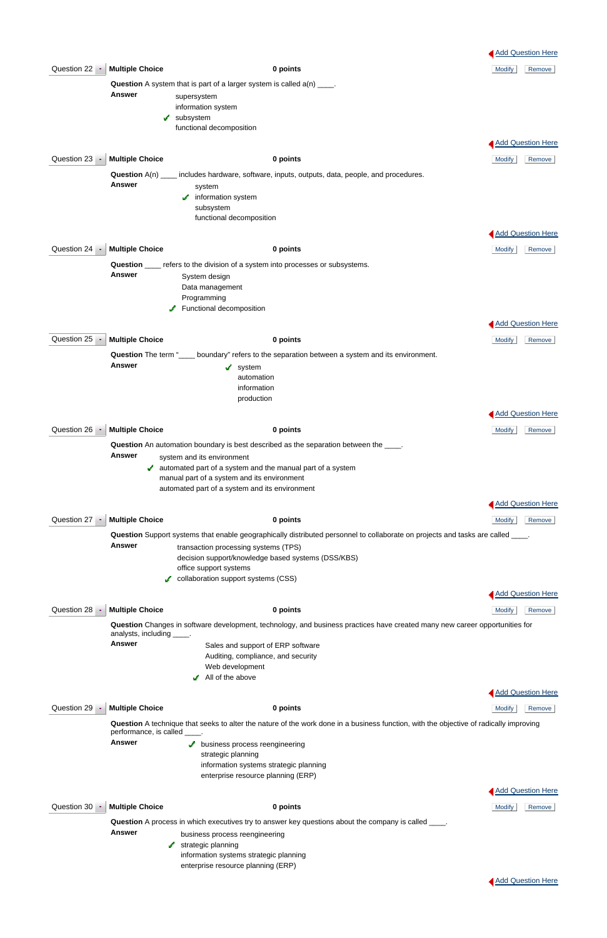**Question** A technique that seeks to alter the nature of the work done in a business function, with the objective of radically improving performance, is called \_\_\_\_.

**Answer business process reengineering**  strategic planning information systems strategic planning enterprise resource planning (ERP)

- **Answer** business process reengineering
	- $\sqrt{\phantom{a}}$  strategic planning

|                     |                             |                                                                                                                             |          |                                                                                                                                  | <b>Add Question Here</b> |
|---------------------|-----------------------------|-----------------------------------------------------------------------------------------------------------------------------|----------|----------------------------------------------------------------------------------------------------------------------------------|--------------------------|
| Question 22         | <b>Multiple Choice</b>      |                                                                                                                             | 0 points |                                                                                                                                  | <b>Modify</b><br>Remove  |
|                     |                             | <b>Question</b> A system that is part of a larger system is called $a(n)$ ____.                                             |          |                                                                                                                                  |                          |
|                     | <b>Answer</b>               | supersystem                                                                                                                 |          |                                                                                                                                  |                          |
|                     |                             | information system                                                                                                          |          |                                                                                                                                  |                          |
|                     | J.                          | subsystem<br>functional decomposition                                                                                       |          |                                                                                                                                  |                          |
|                     |                             |                                                                                                                             |          |                                                                                                                                  |                          |
|                     |                             |                                                                                                                             |          |                                                                                                                                  | Add Question Here        |
| Question 23 $\cdot$ | <b>Multiple Choice</b>      |                                                                                                                             | 0 points |                                                                                                                                  | <b>Modify</b><br>Remove  |
|                     | Question $A(n)$ _           | includes hardware, software, inputs, outputs, data, people, and procedures.                                                 |          |                                                                                                                                  |                          |
|                     | <b>Answer</b>               | system                                                                                                                      |          |                                                                                                                                  |                          |
|                     |                             | $\sqrt{\phantom{a}}$ information system                                                                                     |          |                                                                                                                                  |                          |
|                     |                             | subsystem<br>functional decomposition                                                                                       |          |                                                                                                                                  |                          |
|                     |                             |                                                                                                                             |          |                                                                                                                                  |                          |
|                     |                             |                                                                                                                             |          |                                                                                                                                  | <b>Add Question Here</b> |
| Question 24 $\cdot$ | <b>Multiple Choice</b>      |                                                                                                                             | 0 points |                                                                                                                                  | <b>Modify</b><br>Remove  |
|                     |                             | Question ____ refers to the division of a system into processes or subsystems.                                              |          |                                                                                                                                  |                          |
|                     | <b>Answer</b>               | System design                                                                                                               |          |                                                                                                                                  |                          |
|                     |                             | Data management<br>Programming                                                                                              |          |                                                                                                                                  |                          |
|                     |                             | Functional decomposition                                                                                                    |          |                                                                                                                                  |                          |
|                     |                             |                                                                                                                             |          |                                                                                                                                  | Add Question Here        |
|                     |                             |                                                                                                                             |          |                                                                                                                                  |                          |
| Question 25         | <b>Multiple Choice</b>      |                                                                                                                             | 0 points |                                                                                                                                  | <b>Modify</b><br>Remove  |
|                     | <b>Answer</b>               | Question The term "____ boundary" refers to the separation between a system and its environment.                            |          |                                                                                                                                  |                          |
|                     |                             | system<br>v.<br>automation                                                                                                  |          |                                                                                                                                  |                          |
|                     |                             | information                                                                                                                 |          |                                                                                                                                  |                          |
|                     |                             | production                                                                                                                  |          |                                                                                                                                  |                          |
|                     |                             |                                                                                                                             |          |                                                                                                                                  | <b>Add Question Here</b> |
|                     | Question 26 Multiple Choice |                                                                                                                             | 0 points |                                                                                                                                  | <b>Modify</b><br>Remove  |
|                     |                             |                                                                                                                             |          |                                                                                                                                  |                          |
|                     | Answer                      | <b>Question</b> An automation boundary is best described as the separation between the _____.<br>system and its environment |          |                                                                                                                                  |                          |
|                     |                             | $\blacktriangleright$ automated part of a system and the manual part of a system                                            |          |                                                                                                                                  |                          |
|                     |                             | manual part of a system and its environment                                                                                 |          |                                                                                                                                  |                          |
|                     |                             | automated part of a system and its environment                                                                              |          |                                                                                                                                  |                          |
|                     |                             |                                                                                                                             |          |                                                                                                                                  | Add Question Here        |
| Question $27 -$     | <b>Multiple Choice</b>      |                                                                                                                             | 0 points |                                                                                                                                  | <b>Modify</b><br>Remove  |
|                     |                             |                                                                                                                             |          | Question Support systems that enable geographically distributed personnel to collaborate on projects and tasks are called _____. |                          |
|                     | <b>Answer</b>               | transaction processing systems (TPS)                                                                                        |          |                                                                                                                                  |                          |
|                     |                             | decision support/knowledge based systems (DSS/KBS)                                                                          |          |                                                                                                                                  |                          |
|                     |                             | office support systems                                                                                                      |          |                                                                                                                                  |                          |
|                     |                             | collaboration support systems (CSS)                                                                                         |          |                                                                                                                                  |                          |
|                     |                             |                                                                                                                             |          |                                                                                                                                  | Add Question Here        |
| Question 28<br>÷,   | <b>Multiple Choice</b>      |                                                                                                                             | 0 points |                                                                                                                                  | <b>Modify</b><br>Remove  |
|                     | analysts, including         | <b>Contract</b>                                                                                                             |          | Question Changes in software development, technology, and business practices have created many new career opportunities for      |                          |
|                     | <b>Answer</b>               | Sales and support of ERP software                                                                                           |          |                                                                                                                                  |                          |
|                     |                             | Auditing, compliance, and security                                                                                          |          |                                                                                                                                  |                          |
|                     |                             | Web development<br>$\blacktriangleright$ All of the above                                                                   |          |                                                                                                                                  |                          |
|                     |                             |                                                                                                                             |          |                                                                                                                                  |                          |



# Question 29 **Multiple Choice 0 points** Modify Remove

### Question 30 **Multiple Choice 0 points** Modify Remove

**Question** A process in which executives try to answer key questions about the company is called \_\_\_\_.

 information systems strategic planning enterprise resource planning (ERP)



**Add Question Here**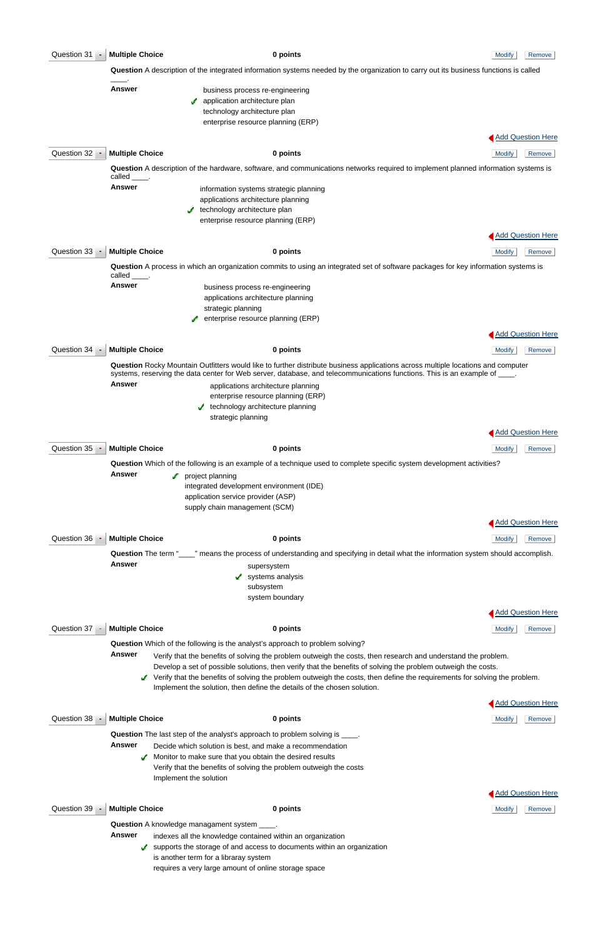| Question 31     | <b>Multiple Choice</b>                                                                                                                                                                                                                                                                                                                                                       | 0 points                                                                                                                                                                                                                                                                                                                                                                                             | <b>Modify</b> | Remove                   |  |
|-----------------|------------------------------------------------------------------------------------------------------------------------------------------------------------------------------------------------------------------------------------------------------------------------------------------------------------------------------------------------------------------------------|------------------------------------------------------------------------------------------------------------------------------------------------------------------------------------------------------------------------------------------------------------------------------------------------------------------------------------------------------------------------------------------------------|---------------|--------------------------|--|
|                 |                                                                                                                                                                                                                                                                                                                                                                              | Question A description of the integrated information systems needed by the organization to carry out its business functions is called                                                                                                                                                                                                                                                                |               |                          |  |
|                 | <b>Answer</b>                                                                                                                                                                                                                                                                                                                                                                | business process re-engineering<br>application architecture plan<br>technology architecture plan<br>enterprise resource planning (ERP)                                                                                                                                                                                                                                                               |               |                          |  |
|                 |                                                                                                                                                                                                                                                                                                                                                                              |                                                                                                                                                                                                                                                                                                                                                                                                      |               | <b>Add Question Here</b> |  |
| Question 32     | <b>Multiple Choice</b>                                                                                                                                                                                                                                                                                                                                                       | 0 points                                                                                                                                                                                                                                                                                                                                                                                             | <b>Modify</b> | Remove                   |  |
|                 | called .                                                                                                                                                                                                                                                                                                                                                                     | Question A description of the hardware, software, and communications networks required to implement planned information systems is                                                                                                                                                                                                                                                                   |               |                          |  |
|                 | Answer                                                                                                                                                                                                                                                                                                                                                                       | information systems strategic planning<br>applications architecture planning<br>technology architecture plan<br>enterprise resource planning (ERP)                                                                                                                                                                                                                                                   |               | <b>Add Question Here</b> |  |
| Question 33     | <b>Multiple Choice</b>                                                                                                                                                                                                                                                                                                                                                       | 0 points                                                                                                                                                                                                                                                                                                                                                                                             | <b>Modify</b> | Remove                   |  |
|                 |                                                                                                                                                                                                                                                                                                                                                                              | Question A process in which an organization commits to using an integrated set of software packages for key information systems is                                                                                                                                                                                                                                                                   |               |                          |  |
|                 | called<br><b>Answer</b>                                                                                                                                                                                                                                                                                                                                                      | business process re-engineering<br>applications architecture planning<br>strategic planning<br>enterprise resource planning (ERP)                                                                                                                                                                                                                                                                    |               |                          |  |
|                 |                                                                                                                                                                                                                                                                                                                                                                              |                                                                                                                                                                                                                                                                                                                                                                                                      |               | <b>Add Question Here</b> |  |
| Question 34     | <b>Multiple Choice</b>                                                                                                                                                                                                                                                                                                                                                       | 0 points                                                                                                                                                                                                                                                                                                                                                                                             | <b>Modify</b> | Remove                   |  |
|                 | Answer                                                                                                                                                                                                                                                                                                                                                                       | Question Rocky Mountain Outfitters would like to further distribute business applications across multiple locations and computer<br>systems, reserving the data center for Web server, database, and telecommunications functions. This is an example of ____.<br>applications architecture planning<br>enterprise resource planning (ERP)<br>technology architecture planning<br>strategic planning |               |                          |  |
|                 |                                                                                                                                                                                                                                                                                                                                                                              |                                                                                                                                                                                                                                                                                                                                                                                                      |               | <b>Add Question Here</b> |  |
| Question $35 -$ | <b>Multiple Choice</b>                                                                                                                                                                                                                                                                                                                                                       | 0 points                                                                                                                                                                                                                                                                                                                                                                                             | <b>Modify</b> | Remove                   |  |
|                 | <b>Answer</b>                                                                                                                                                                                                                                                                                                                                                                | Question Which of the following is an example of a technique used to complete specific system development activities?<br>project planning<br>integrated development environment (IDE)<br>application service provider (ASP)<br>supply chain management (SCM)                                                                                                                                         |               | <b>Add Question Here</b> |  |
| Question $36 -$ | <b>Multiple Choice</b>                                                                                                                                                                                                                                                                                                                                                       | 0 points                                                                                                                                                                                                                                                                                                                                                                                             | <b>Modify</b> | Remove                   |  |
|                 |                                                                                                                                                                                                                                                                                                                                                                              | Question The term "____" means the process of understanding and specifying in detail what the information system should accomplish.                                                                                                                                                                                                                                                                  |               |                          |  |
|                 | <b>Answer</b>                                                                                                                                                                                                                                                                                                                                                                | supersystem<br>systems analysis<br>subsystem<br>system boundary                                                                                                                                                                                                                                                                                                                                      |               |                          |  |
|                 |                                                                                                                                                                                                                                                                                                                                                                              |                                                                                                                                                                                                                                                                                                                                                                                                      |               | <b>Add Question Here</b> |  |
| Question $37 -$ | <b>Multiple Choice</b>                                                                                                                                                                                                                                                                                                                                                       | 0 points<br>Question Which of the following is the analyst's approach to problem solving?                                                                                                                                                                                                                                                                                                            | <b>Modify</b> | Remove                   |  |
|                 | <b>Answer</b><br>Verify that the benefits of solving the problem outweigh the costs, then research and understand the problem.<br>Develop a set of possible solutions, then verify that the benefits of solving the problem outweigh the costs.<br>Verify that the benefits of solving the problem outweigh the costs, then define the requirements for solving the problem. |                                                                                                                                                                                                                                                                                                                                                                                                      |               |                          |  |

Implement the solution, then define the details of the chosen solution.

## **Question 38 Multiple Choice 0 points 0 points 0 points 1 Modify** Remove

**Question** The last step of the analyst's approach to problem solving is  $\frac{1}{1}$ .

supports the storage of and access to documents within an organization is another term for a libraray system requires a very large amount of online storage space





- **Answer** Decide which solution is best, and make a recommendation
	- $\blacktriangleright$  Monitor to make sure that you obtain the desired results Verify that the benefits of solving the problem outweigh the costs Implement the solution

**Question 39 · Multiple Choice 0 points 0 points 0 points 1 Modify** Remove



**Question** A knowledge managament system \_\_\_\_.

**Answer** indexes all the knowledge contained within an organization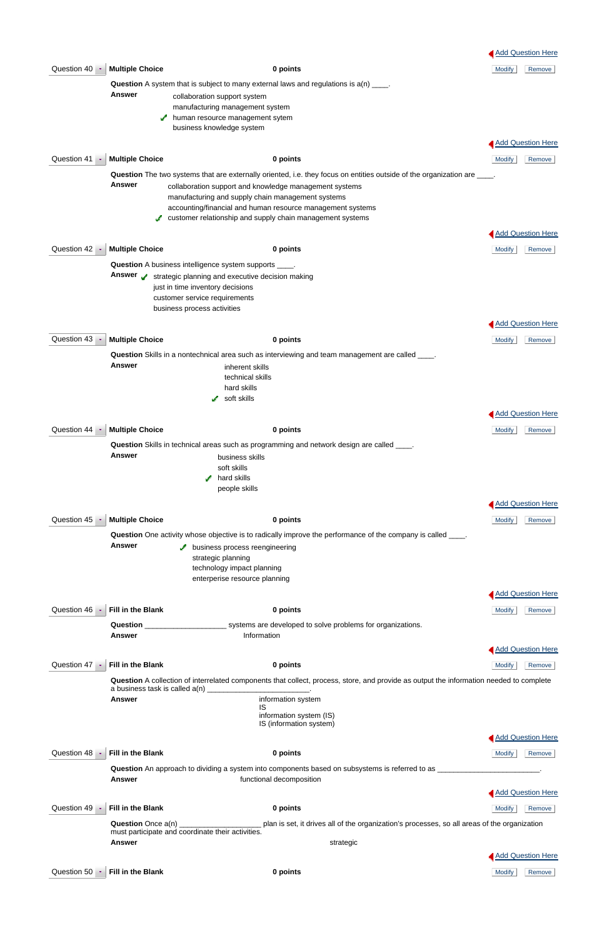|                 |                          |                                                                                                                                                                                                                                                                                                                                                                    | Add Question Here        |
|-----------------|--------------------------|--------------------------------------------------------------------------------------------------------------------------------------------------------------------------------------------------------------------------------------------------------------------------------------------------------------------------------------------------------------------|--------------------------|
| Question 40     | <b>Multiple Choice</b>   | 0 points                                                                                                                                                                                                                                                                                                                                                           | <b>Modify</b><br>Remove  |
|                 | <b>Answer</b>            | <b>Question</b> A system that is subject to many external laws and regulations is $a(n)$ ____.<br>collaboration support system<br>manufacturing management system<br>human resource management sytem<br>a.<br>business knowledge system                                                                                                                            |                          |
|                 |                          |                                                                                                                                                                                                                                                                                                                                                                    | <b>Add Question Here</b> |
| Question 41 ·   | <b>Multiple Choice</b>   | 0 points                                                                                                                                                                                                                                                                                                                                                           | <b>Modify</b><br>Remove  |
|                 | <b>Answer</b>            | Question The two systems that are externally oriented, i.e. they focus on entities outside of the organization are ____.<br>collaboration support and knowledge management systems<br>manufacturing and supply chain management systems<br>accounting/financial and human resource management systems<br>customer relationship and supply chain management systems |                          |
|                 |                          |                                                                                                                                                                                                                                                                                                                                                                    | Add Question Here        |
| Question $42 -$ | <b>Multiple Choice</b>   | 0 points                                                                                                                                                                                                                                                                                                                                                           | <b>Modify</b><br>Remove  |
|                 | Answer y                 | <b>Question</b> A business intelligence system supports _____.<br>strategic planning and executive decision making<br>just in time inventory decisions<br>customer service requirements<br>business process activities                                                                                                                                             |                          |
|                 |                          |                                                                                                                                                                                                                                                                                                                                                                    | Add Question Here        |
| Question 43     | <b>Multiple Choice</b>   | 0 points                                                                                                                                                                                                                                                                                                                                                           | <b>Modify</b><br>Remove  |
|                 | <b>Answer</b>            | <b>Question</b> Skills in a nontechnical area such as interviewing and team management are called _____.<br>inherent skills<br>technical skills<br>hard skills<br>$\sqrt{\phantom{a}}$ soft skills                                                                                                                                                                 |                          |
|                 |                          |                                                                                                                                                                                                                                                                                                                                                                    | <b>Add Question Here</b> |
| Question 44 ·   | <b>Multiple Choice</b>   | 0 points                                                                                                                                                                                                                                                                                                                                                           | <b>Modify</b><br>Remove  |
|                 |                          | <b>Question</b> Skills in technical areas such as programming and network design are called ____.                                                                                                                                                                                                                                                                  |                          |
|                 | <b>Answer</b>            | business skills<br>soft skills<br>hard skills<br>✔<br>people skills                                                                                                                                                                                                                                                                                                |                          |
|                 |                          |                                                                                                                                                                                                                                                                                                                                                                    | Add Question Here        |
| Question 45     | <b>Multiple Choice</b>   | 0 points                                                                                                                                                                                                                                                                                                                                                           | <b>Modify</b><br>Remove  |
|                 |                          | Question One activity whose objective is to radically improve the performance of the company is called _____.                                                                                                                                                                                                                                                      |                          |
|                 | <b>Answer</b>            | business process reengineering<br>strategic planning<br>technology impact planning<br>enterperise resource planning                                                                                                                                                                                                                                                |                          |
|                 |                          |                                                                                                                                                                                                                                                                                                                                                                    | Add Question Here        |
| Question 46 ·   | <b>Fill in the Blank</b> | 0 points                                                                                                                                                                                                                                                                                                                                                           | <b>Modify</b><br>Remove  |
|                 |                          |                                                                                                                                                                                                                                                                                                                                                                    |                          |
|                 | <b>Answer</b>            | Information                                                                                                                                                                                                                                                                                                                                                        |                          |
|                 |                          |                                                                                                                                                                                                                                                                                                                                                                    | Add Question Here        |
| Question 47     | Fill in the Blank        | 0 points                                                                                                                                                                                                                                                                                                                                                           | Modify<br>Remove         |

**Question** A collection of interrelated components that collect, process, store, and provide as output the information needed to complete a business task is called a(n) \_\_\_\_\_\_\_\_\_\_\_\_\_\_\_\_\_\_\_\_\_\_\_\_\_\_\_\_\_\_.

|                 | a basilless task is called a(ii)                                               |                                                                                                                                |                          |
|-----------------|--------------------------------------------------------------------------------|--------------------------------------------------------------------------------------------------------------------------------|--------------------------|
|                 | Answer                                                                         | information system<br>IS<br>information system (IS)<br>IS (information system)                                                 |                          |
|                 |                                                                                |                                                                                                                                | <b>Add Question Here</b> |
| Question 48     | <b>Fill in the Blank</b>                                                       | 0 points                                                                                                                       | <b>Modify</b><br>Remove  |
|                 | <b>Answer</b>                                                                  | Question An approach to dividing a system into components based on subsystems is referred to as __<br>functional decomposition |                          |
|                 |                                                                                |                                                                                                                                | Add Question Here        |
| Question 49     | <b>Fill in the Blank</b>                                                       | 0 points                                                                                                                       | Modify<br>Remove         |
|                 | <b>Question</b> Once a(n)<br>must participate and coordinate their activities. | plan is set, it drives all of the organization's processes, so all areas of the organization                                   |                          |
|                 | <b>Answer</b>                                                                  | strategic                                                                                                                      |                          |
|                 |                                                                                |                                                                                                                                | <b>Add Question Here</b> |
| Question $50 -$ | Fill in the Blank                                                              | 0 points                                                                                                                       | <b>Modify</b><br>Remove  |